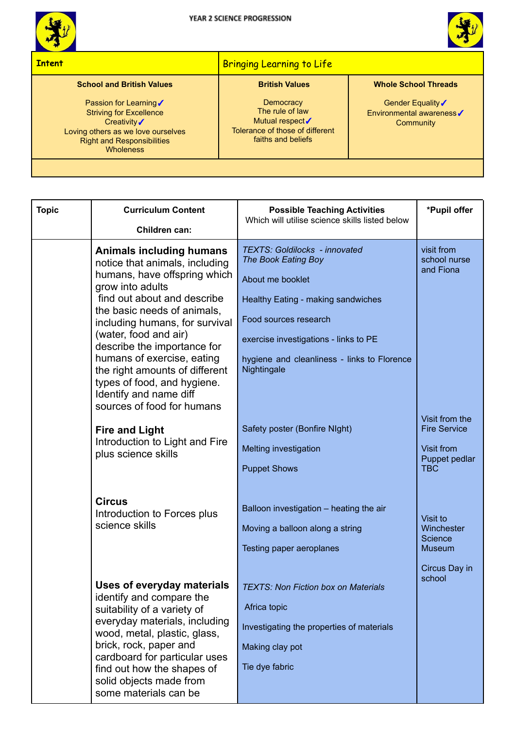



## **Intent** Bringing Learning to Life **Bringing Learning to Life School and British Values** Passion for Learning√ Striving for Excellence Creativity✓ Loving others as we love ourselves Right and Responsibilities **Wholeness British Values Democracy** The rule of law Mutual respect√ Tolerance of those of different faiths and beliefs **Whole School Threads** Gender Equality√ Environmental awareness✓ **Community**

| <b>Topic</b> | <b>Curriculum Content</b><br>Children can:                                                                                                                                                                                                                                                                                                                                                                                                                    | <b>Possible Teaching Activities</b><br>Which will utilise science skills listed below                                                                                                                                                                                                  | *Pupil offer                                                                     |
|--------------|---------------------------------------------------------------------------------------------------------------------------------------------------------------------------------------------------------------------------------------------------------------------------------------------------------------------------------------------------------------------------------------------------------------------------------------------------------------|----------------------------------------------------------------------------------------------------------------------------------------------------------------------------------------------------------------------------------------------------------------------------------------|----------------------------------------------------------------------------------|
|              | <b>Animals including humans</b><br>notice that animals, including<br>humans, have offspring which<br>grow into adults<br>find out about and describe<br>the basic needs of animals,<br>including humans, for survival<br>(water, food and air)<br>describe the importance for<br>humans of exercise, eating<br>the right amounts of different<br>types of food, and hygiene.<br>Identify and name diff<br>sources of food for humans<br><b>Fire and Light</b> | <b>TEXTS: Goldilocks - innovated</b><br>The Book Eating Boy<br>About me booklet<br>Healthy Eating - making sandwiches<br>Food sources research<br>exercise investigations - links to PE<br>hygiene and cleanliness - links to Florence<br>Nightingale<br>Safety poster (Bonfire Night) | visit from<br>school nurse<br>and Fiona<br>Visit from the<br><b>Fire Service</b> |
|              | Introduction to Light and Fire<br>plus science skills                                                                                                                                                                                                                                                                                                                                                                                                         | <b>Melting investigation</b><br><b>Puppet Shows</b>                                                                                                                                                                                                                                    | Visit from<br>Puppet pedlar<br><b>TBC</b>                                        |
|              | <b>Circus</b><br>Introduction to Forces plus<br>science skills                                                                                                                                                                                                                                                                                                                                                                                                | Balloon investigation - heating the air<br>Moving a balloon along a string<br>Testing paper aeroplanes                                                                                                                                                                                 | Visit to<br>Winchester<br>Science<br><b>Museum</b><br>Circus Day in              |
|              | <b>Uses of everyday materials</b><br>identify and compare the<br>suitability of a variety of<br>everyday materials, including<br>wood, metal, plastic, glass,<br>brick, rock, paper and<br>cardboard for particular uses<br>find out how the shapes of<br>solid objects made from<br>some materials can be                                                                                                                                                    | <b>TEXTS: Non Fiction box on Materials</b><br>Africa topic<br>Investigating the properties of materials<br>Making clay pot<br>Tie dye fabric                                                                                                                                           | school                                                                           |